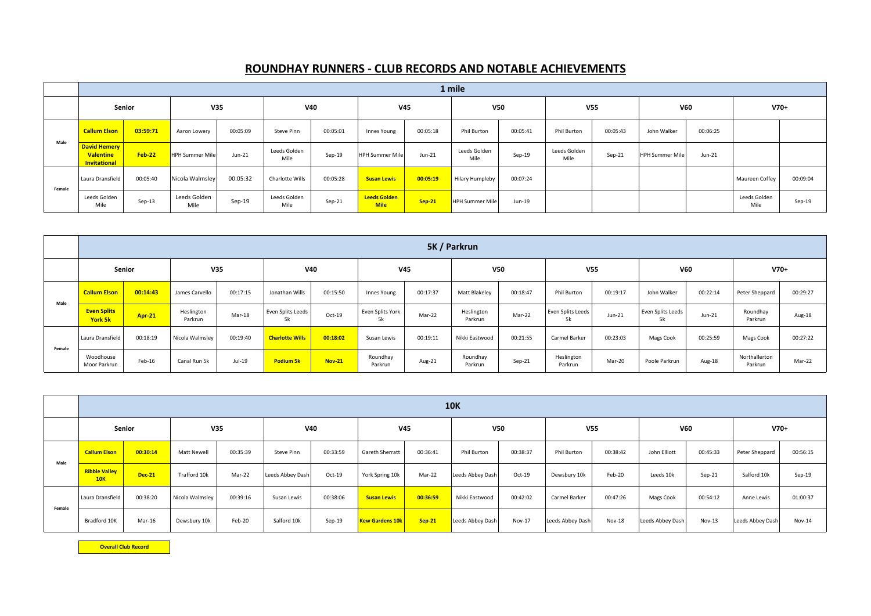|        |                                                         | 1 mile   |                        |          |                      |          |                                    |          |                        |          |                      |          |                        |          |                      |          |
|--------|---------------------------------------------------------|----------|------------------------|----------|----------------------|----------|------------------------------------|----------|------------------------|----------|----------------------|----------|------------------------|----------|----------------------|----------|
|        | Senior                                                  |          | V35                    |          | <b>V40</b>           |          | <b>V45</b>                         |          | V <sub>50</sub>        |          | <b>V55</b>           |          | <b>V60</b>             |          | $V70+$               |          |
|        | <b>Callum Elson</b>                                     | 03:59:71 | Aaron Lowery           | 00:05:09 | Steve Pinn           | 00:05:01 | Innes Young                        | 00:05:18 | Phil Burton            | 00:05:41 | Phil Burton          | 00:05:43 | John Walker            | 00:06:25 |                      |          |
| Male   | David Hemery<br><b>Valentine</b><br><b>Invitational</b> | $Feb-22$ | <b>HPH Summer Mile</b> | $Jun-21$ | Leeds Golden<br>Mile | Sep-19   | <b>HPH Summer Mile</b>             | $Jun-21$ | Leeds Golden<br>Mile   | Sep-19   | Leeds Golden<br>Mile | Sep-21   | <b>HPH Summer Mile</b> | Jun-21   |                      |          |
| Female | Laura Dransfield                                        | 00:05:40 | Nicola Walmsley        | 00:05:32 | Charlotte Wills      | 00:05:28 | <b>Susan Lewis</b>                 | 00:05:19 | <b>Hilary Humpleby</b> | 00:07:24 |                      |          |                        |          | Maureen Coffey       | 00:09:04 |
|        | Leeds Golden<br>Mile                                    | $Sep-13$ | Leeds Golden<br>Mile   | Sep-19   | Leeds Golden<br>Mile | $Sep-21$ | <b>Leeds Golden</b><br><b>Mile</b> | $Sep-21$ | HPH Summer Mile        | Jun-19   |                      |          |                        |          | Leeds Golden<br>Mile | Sep-19   |

|        |                               | 5K / Parkrun  |                       |          |                         |               |                        |          |                       |          |                         |          |                         |          |                          |          |
|--------|-------------------------------|---------------|-----------------------|----------|-------------------------|---------------|------------------------|----------|-----------------------|----------|-------------------------|----------|-------------------------|----------|--------------------------|----------|
|        | Senior                        |               | V35                   |          | V40                     |               | V <sub>45</sub>        |          | <b>V50</b>            |          | V <sub>55</sub>         |          | <b>V60</b>              |          | $V70+$                   |          |
| Male   | <b>Callum Elson</b>           | 00:14:43      | James Carvello        | 00:17:15 | Jonathan Wills          | 00:15:50      | Innes Young            | 00:17:37 | Matt Blakeley         | 00:18:47 | Phil Burton             | 00:19:17 | John Walker             | 00:22:14 | Peter Sheppard           | 00:29:27 |
|        | <b>Even Splits</b><br>York 5k | <b>Apr-21</b> | Heslington<br>Parkrun | Mar-18   | Even Splits Leeds<br>5k | Oct-19        | Even Splits York<br>5k | Mar-22   | Heslington<br>Parkrun | Mar-22   | Even Splits Leeds<br>5k | $Jun-21$ | Even Splits Leeds<br>5k | $Jun-21$ | Roundhay<br>Parkrun      | Aug-18   |
| Female | Laura Dransfield              | 00:18:19      | Nicola Walmsley       | 00:19:40 | <b>Charlotte Wills</b>  | 00:18:02      | Susan Lewis            | 00:19:11 | Nikki Eastwood        | 00:21:55 | Carmel Barker           | 00:23:03 | Mags Cook               | 00:25:59 | Mags Cook                | 00:27:22 |
|        | Woodhouse<br>Moor Parkrun     | Feb-16        | Canal Run 5k          | Jul-19   | <b>Podium 5k</b>        | <b>Nov-21</b> | Roundhay<br>Parkrun    | Aug-21   | Roundhay<br>Parkrun   | $Sep-21$ | Heslington<br>Parkrun   | Mar-20   | Poole Parkrun           | Aug-18   | Northallerton<br>Parkrun | Mar-22   |

|        |                             |               |                 |            |                  |          |                        |          | <b>10K</b>       |          |                  |          |                  |               |                  |          |
|--------|-----------------------------|---------------|-----------------|------------|------------------|----------|------------------------|----------|------------------|----------|------------------|----------|------------------|---------------|------------------|----------|
|        | V35<br>Senior               |               |                 | <b>V40</b> |                  |          | <b>V45</b>             |          | V <sub>50</sub>  |          | V <sub>55</sub>  |          | V60              |               | $V70+$           |          |
| Male   | <b>Callum Elson</b>         | 00:30:14      | Matt Newell     | 00:35:39   | Steve Pinn       | 00:33:59 | <b>Gareth Sherratt</b> | 00:36:41 | Phil Burton      | 00:38:37 | Phil Burton      | 00:38:42 | John Elliott     | 00:45:33      | Peter Sheppard   | 00:56:15 |
|        | <b>Ribble Valley</b><br>10K | <b>Dec-21</b> | Trafford 10k    | Mar-22     | Leeds Abbey Dash | Oct-19   | York Spring 10k        | Mar-22   | Leeds Abbey Dash | $Oct-19$ | Dewsbury 10k     | Feb-20   | Leeds 10k        | $Sep-21$      | Salford 10k      | Sep-19   |
| Female | Laura Dransfield            | 00:38:20      | Nicola Walmsley | 00:39:16   | Susan Lewis      | 00:38:06 | <b>Susan Lewis</b>     | 00:36:59 | Nikki Eastwood   | 00:42:02 | Carmel Barker    | 00:47:26 | Mags Cook        | 00:54:12      | Anne Lewis       | 01:00:37 |
|        | Bradford 10K                | Mar-16        | Dewsbury 10k    | Feb-20     | Salford 10k      | Sep-19   | <b>Kew Gardens 10k</b> | $Sep-21$ | Leeds Abbey Dash | Nov-17   | Leeds Abbey Dash | Nov-18   | Leeds Abbey Dash | <b>Nov-13</b> | Leeds Abbey Dash | Nov-14   |

**Overall Club Record**

## **ROUNDHAY RUNNERS - CLUB RECORDS AND NOTABLE ACHIEVEMENTS**